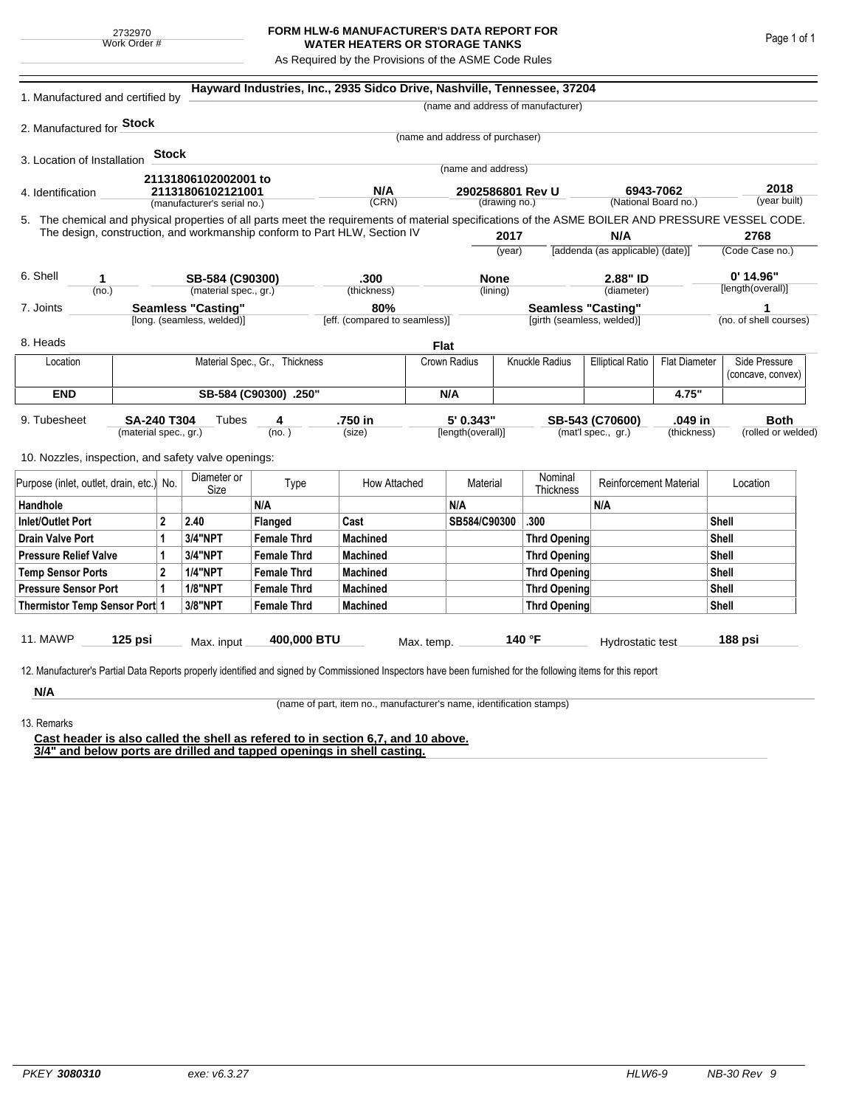## **FORM HLW-6 MANUFACTURER'S DATA REPORT FOR WATER HEATERS OR STORAGE TANKS**

As Required by the Provisions of the ASME Code Rules

| 1. Manufactured and certified by                                                                                                                                                                                                |                                |         |                             |                                      | Hayward Industries, Inc., 2935 Sidco Drive, Nashville, Tennessee, 37204 |              |                                                         |                     |                                    |                                                 |                 |                        |                                    |
|---------------------------------------------------------------------------------------------------------------------------------------------------------------------------------------------------------------------------------|--------------------------------|---------|-----------------------------|--------------------------------------|-------------------------------------------------------------------------|--------------|---------------------------------------------------------|---------------------|------------------------------------|-------------------------------------------------|-----------------|------------------------|------------------------------------|
|                                                                                                                                                                                                                                 |                                |         |                             |                                      |                                                                         |              |                                                         |                     | (name and address of manufacturer) |                                                 |                 |                        |                                    |
| 2. Manufactured for <b>Stock</b>                                                                                                                                                                                                |                                |         |                             |                                      |                                                                         |              |                                                         |                     |                                    |                                                 |                 |                        |                                    |
|                                                                                                                                                                                                                                 |                                |         |                             |                                      |                                                                         |              | (name and address of purchaser)                         |                     |                                    |                                                 |                 |                        |                                    |
| 3. Location of Installation                                                                                                                                                                                                     |                                | Stock   |                             |                                      |                                                                         |              | (name and address)                                      |                     |                                    |                                                 |                 |                        |                                    |
|                                                                                                                                                                                                                                 |                                |         | 21131806102002001 to        |                                      |                                                                         |              |                                                         |                     |                                    |                                                 |                 |                        |                                    |
| 4. Identification                                                                                                                                                                                                               |                                |         | 21131806102121001           |                                      | N/A<br>(CRN)                                                            |              | 2902586801 Rev U<br>(drawing no.)                       |                     |                                    | 6943-7062<br>(National Board no.)               |                 | 2018<br>(year built)   |                                    |
|                                                                                                                                                                                                                                 |                                |         | (manufacturer's serial no.) |                                      |                                                                         |              |                                                         |                     |                                    |                                                 |                 |                        |                                    |
| 5. The chemical and physical properties of all parts meet the requirements of material specifications of the ASME BOILER AND PRESSURE VESSEL CODE.<br>The design, construction, and workmanship conform to Part HLW, Section IV |                                |         |                             |                                      |                                                                         |              |                                                         | 2017                |                                    | N/A                                             |                 |                        | 2768                               |
|                                                                                                                                                                                                                                 |                                |         |                             |                                      |                                                                         |              | (year)                                                  |                     | [addenda (as applicable) (date)]   |                                                 | (Code Case no.) |                        |                                    |
|                                                                                                                                                                                                                                 |                                |         |                             |                                      |                                                                         |              |                                                         |                     |                                    |                                                 |                 |                        |                                    |
| 6. Shell<br>1                                                                                                                                                                                                                   |                                |         | SB-584 (C90300)             |                                      | .300                                                                    |              | <b>None</b>                                             |                     |                                    | 2.88" ID                                        |                 | $0'$ 14.96"            |                                    |
| (no.)                                                                                                                                                                                                                           |                                |         | (material spec., gr.)       |                                      | (thickness)                                                             |              | (lining)                                                |                     |                                    | (diameter)                                      |                 |                        | [length(overall)]                  |
| <b>Seamless "Casting"</b><br>7. Joints<br>[long. (seamless, welded)]                                                                                                                                                            |                                |         |                             | 80%<br>[eff. (compared to seamless)] |                                                                         |              | <b>Seamless "Casting"</b><br>[girth (seamless, welded)] |                     |                                    |                                                 |                 | (no. of shell courses) |                                    |
|                                                                                                                                                                                                                                 |                                |         |                             |                                      |                                                                         |              |                                                         |                     |                                    |                                                 |                 |                        |                                    |
| 8. Heads                                                                                                                                                                                                                        |                                |         |                             |                                      |                                                                         |              | <b>Flat</b>                                             |                     |                                    |                                                 |                 |                        |                                    |
| Location                                                                                                                                                                                                                        | Material Spec., Gr., Thickness |         |                             |                                      |                                                                         |              | Crown Radius                                            |                     | Knuckle Radius                     | <b>Elliptical Ratio</b><br><b>Flat Diameter</b> |                 |                        | Side Pressure<br>(concave, convex) |
| <b>END</b>                                                                                                                                                                                                                      | SB-584 (C90300) .250"          |         |                             |                                      |                                                                         |              | N/A                                                     |                     |                                    |                                                 | 4.75"           |                        |                                    |
| 9. Tubesheet<br>SA-240 T304                                                                                                                                                                                                     |                                |         | Tubes                       | 4                                    | .750 in                                                                 |              | 5' 0.343"                                               |                     | .049 in<br>SB-543 (C70600)         |                                                 |                 | <b>Both</b>            |                                    |
| (material spec., gr.)                                                                                                                                                                                                           |                                |         |                             | (no. )                               | (size)                                                                  |              | [length(overall)]                                       |                     | (mat'l spec., gr.)<br>(thickness)  |                                                 |                 | (rolled or welded)     |                                    |
| 10. Nozzles, inspection, and safety valve openings:                                                                                                                                                                             |                                |         |                             |                                      |                                                                         |              |                                                         |                     |                                    |                                                 |                 |                        |                                    |
| Purpose (inlet, outlet, drain, etc.) No.                                                                                                                                                                                        |                                |         | Diameter or<br>Size         | Type                                 | How Attached                                                            |              | Material                                                |                     | Nominal<br>Thickness               | <b>Reinforcement Material</b>                   |                 | Location               |                                    |
| Handhole                                                                                                                                                                                                                        |                                |         |                             | N/A                                  |                                                                         |              | N/A                                                     |                     |                                    | N/A                                             |                 |                        |                                    |
| $\overline{2}$<br><b>Inlet/Outlet Port</b>                                                                                                                                                                                      |                                | 2.40    | Flanged                     | Cast                                 |                                                                         | SB584/C90300 |                                                         | .300                |                                    |                                                 | Shell           |                        |                                    |
| <b>Drain Valve Port</b><br>1                                                                                                                                                                                                    |                                | 3/4"NPT | <b>Female Thrd</b>          | <b>Machined</b>                      |                                                                         |              |                                                         | <b>Thrd Opening</b> |                                    |                                                 |                 | Shell                  |                                    |
| <b>Pressure Relief Valve</b><br>1                                                                                                                                                                                               |                                |         | 3/4"NPT                     | <b>Female Thrd</b>                   | <b>Machined</b>                                                         |              |                                                         |                     | <b>Thrd Opening</b>                |                                                 |                 | Shell                  |                                    |
| $\overline{2}$<br><b>Temp Sensor Ports</b>                                                                                                                                                                                      |                                |         | <b>1/4"NPT</b>              | <b>Female Thrd</b>                   | <b>Machined</b>                                                         |              |                                                         | Thrd Opening        |                                    |                                                 |                 | Shell                  |                                    |
| <b>Pressure Sensor Port</b><br>1                                                                                                                                                                                                |                                |         | <b>1/8"NPT</b>              | <b>Female Thrd</b>                   | <b>Machined</b>                                                         |              |                                                         | Thrd Opening        |                                    |                                                 |                 | Shell                  |                                    |
| Thermistor Temp Sensor Port 1                                                                                                                                                                                                   |                                |         | 3/8"NPT                     | <b>Female Thrd</b>                   | <b>Machined</b>                                                         |              |                                                         |                     |                                    | Thrd Opening                                    |                 | Shell                  |                                    |
| 11. MAWP                                                                                                                                                                                                                        | $125$ psi                      |         | Max. input                  | 400,000 BTU                          |                                                                         | Max. temp.   |                                                         |                     | 140 °F                             | Hydrostatic test                                |                 |                        | 188 psi                            |
|                                                                                                                                                                                                                                 |                                |         |                             |                                      |                                                                         |              |                                                         |                     |                                    |                                                 |                 |                        |                                    |
| 12. Manufacturer's Partial Data Reports properly identified and signed by Commissioned Inspectors have been furnished for the following items for this report                                                                   |                                |         |                             |                                      |                                                                         |              |                                                         |                     |                                    |                                                 |                 |                        |                                    |
| N/A                                                                                                                                                                                                                             |                                |         |                             |                                      |                                                                         |              |                                                         |                     |                                    |                                                 |                 |                        |                                    |

(name of part, item no., manufacturer's name, identification stamps)

13. Remarks

**Cast header is also called the shell as refered to in section 6,7, and 10 above. 3/4" and below ports are drilled and tapped openings in shell casting.**